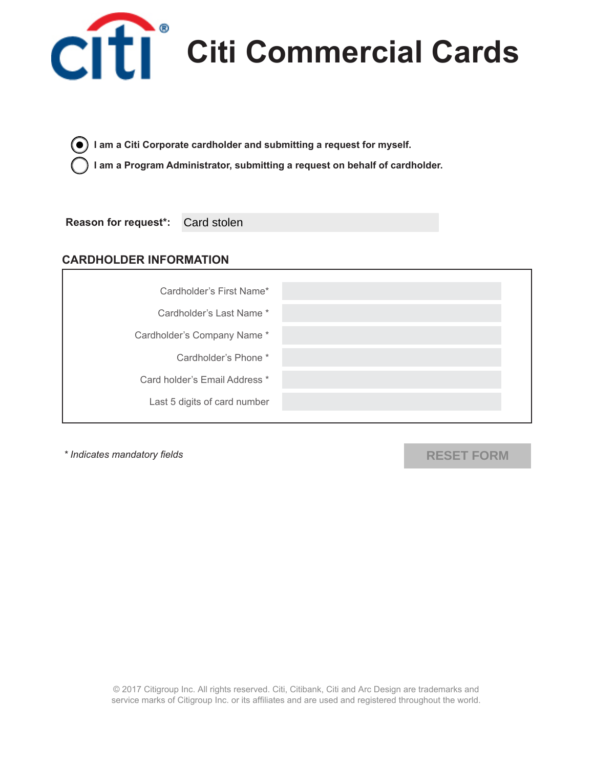

Citi<sup>®</sup> Citi Commercial Cards

**I am a Citi Corporate cardholder and submitting a request for myself.** 

**I am a Program Administrator, submitting a request on behalf of cardholder.**

**Reason for request\*:** Card stolen

## **CARDHOLDER INFORMATION**



*\* Indicates mandatory fields*

**RESET FORM**

© 2017 Citigroup Inc. All rights reserved. Citi, Citibank, Citi and Arc Design are trademarks and service marks of Citigroup Inc. or its affiliates and are used and registered throughout the world.